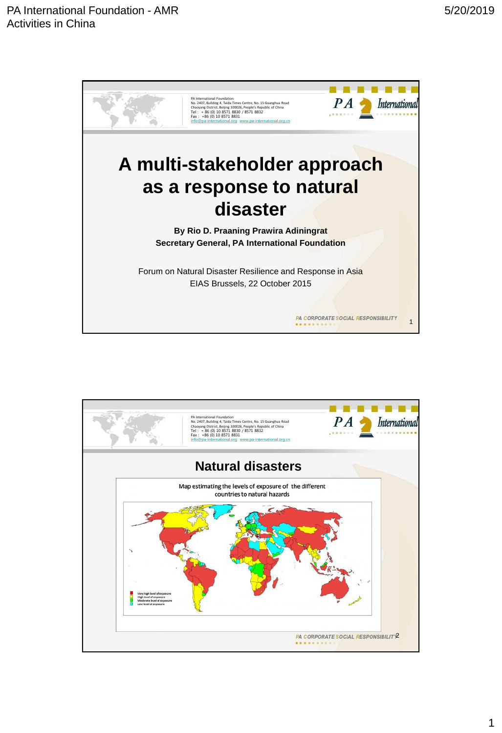

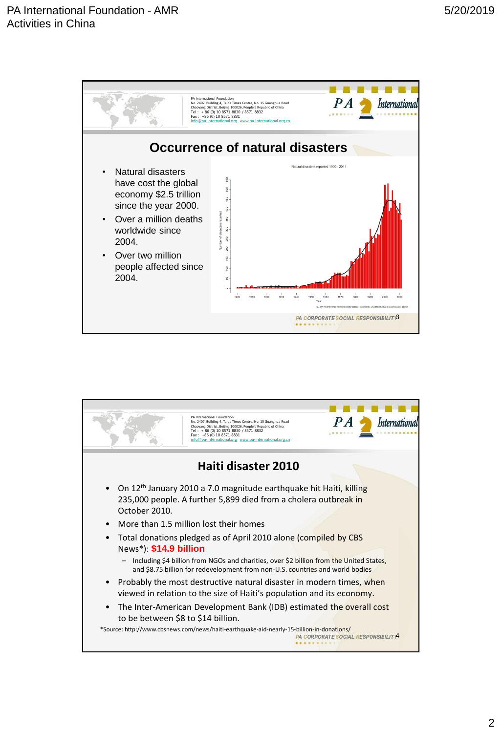

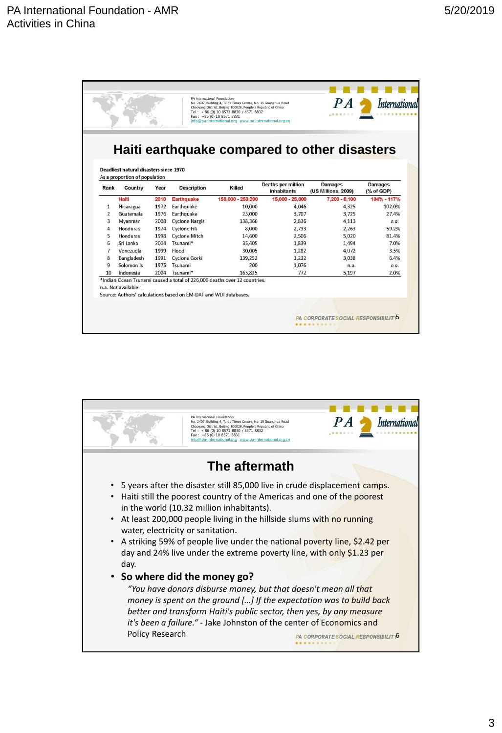|                | PA International Foundation<br>No. 2407, Building 4, Taida Times Centre, No. 15 Guanghua Road<br>Chaoyang District, Beijing 100026, People's Republic of China<br>Tel: + 86 (0) 10 8571 8830 / 8571 8832<br>Fax: +86 (0) 10 8571 8831<br>info@pa-international.org www.pa-international.org.cn |      |                                                                  |                                                                           |                                                 | PA<br>                                                                                | <i>Internationa</i>          |
|----------------|------------------------------------------------------------------------------------------------------------------------------------------------------------------------------------------------------------------------------------------------------------------------------------------------|------|------------------------------------------------------------------|---------------------------------------------------------------------------|-------------------------------------------------|---------------------------------------------------------------------------------------|------------------------------|
| Rank           | Deadliest natural disasters since 1970<br>As a proportion of population<br>Country                                                                                                                                                                                                             | Year | <b>Description</b>                                               | Killed                                                                    | <b>Deaths per million</b><br><b>inhabitants</b> | Haiti earthquake compared to other disasters<br><b>Damages</b><br>(US Millions, 2009) | <b>Damages</b><br>(% of GDP) |
|                | Haiti                                                                                                                                                                                                                                                                                          | 2010 | <b>Earthquake</b>                                                | 150,000 - 250,000                                                         | 15,000 - 25,000                                 | 7.200 - 8.100                                                                         | 104% - 117%                  |
| 1              | Nicaragua                                                                                                                                                                                                                                                                                      | 1972 | Earthquake                                                       | 10,000                                                                    | 4.046                                           | 4,325                                                                                 | 102.0%                       |
| $\overline{2}$ | Guatemala                                                                                                                                                                                                                                                                                      | 1976 | Earthquake                                                       | 23,000                                                                    | 3,707                                           | 3.725                                                                                 | 27.4%                        |
| 3              | Myanmar                                                                                                                                                                                                                                                                                        | 2008 | <b>Cyclone Nargis</b>                                            | 138,366                                                                   | 2,836                                           | 4.113                                                                                 | n.a.                         |
| $\overline{a}$ | Honduras                                                                                                                                                                                                                                                                                       | 1974 | <b>Cyclone Fifi</b>                                              | 8,000                                                                     | 2,733                                           | 2.263                                                                                 | 59.2%                        |
| 5              | Honduras                                                                                                                                                                                                                                                                                       | 1998 | <b>Cyclone Mitch</b>                                             | 14,600                                                                    | 2,506                                           | 5,020                                                                                 | 81.4%                        |
| 6              | Sri Lanka                                                                                                                                                                                                                                                                                      | 2004 | Tsunami*                                                         | 35,405                                                                    | 1.839                                           | 1.494                                                                                 | 7.0%                         |
| $\overline{7}$ | Venezuela                                                                                                                                                                                                                                                                                      | 1999 | Flood                                                            | 30,005                                                                    | 1.282                                           | 4.072                                                                                 | 3.5%                         |
| 8              | Bangladesh                                                                                                                                                                                                                                                                                     | 1991 | <b>Cyclone Gorki</b>                                             | 139.252                                                                   | 1.232                                           | 3.038                                                                                 | 6.4%                         |
| 9              | Solomon Is                                                                                                                                                                                                                                                                                     | 1975 | Tsunami                                                          | 200                                                                       | 1.076                                           | n.a.                                                                                  | n.a.                         |
| 10             | Indonesia                                                                                                                                                                                                                                                                                      | 2004 | Tsunami*                                                         | 165.825                                                                   | 772                                             | 5,197                                                                                 | 2.0%                         |
|                | n.a. Not available                                                                                                                                                                                                                                                                             |      | Source: Authors' calculations based on EM-DAT and WDI databases. | *Indian Ocean Tsunami caused a total of 226,000 deaths over 12 countries. |                                                 |                                                                                       |                              |

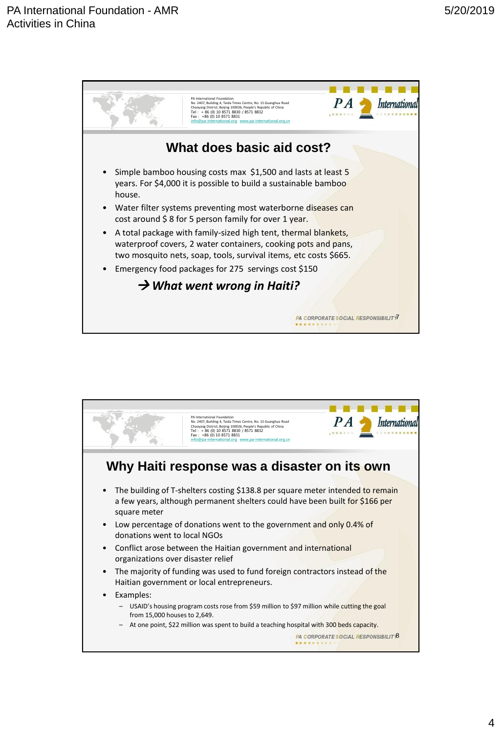

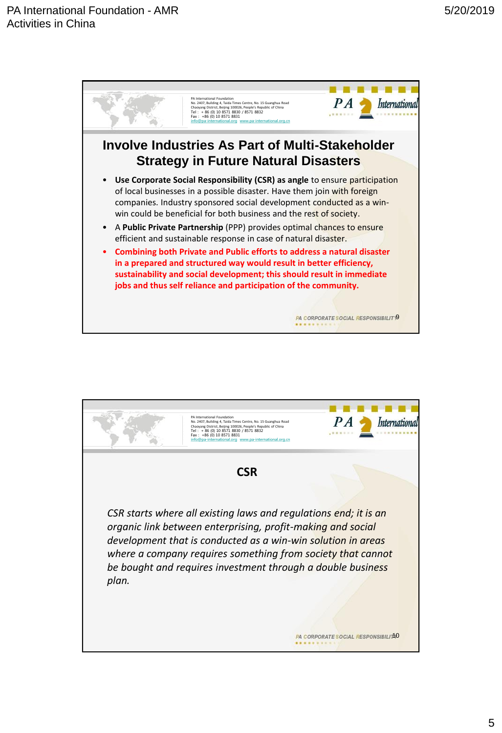

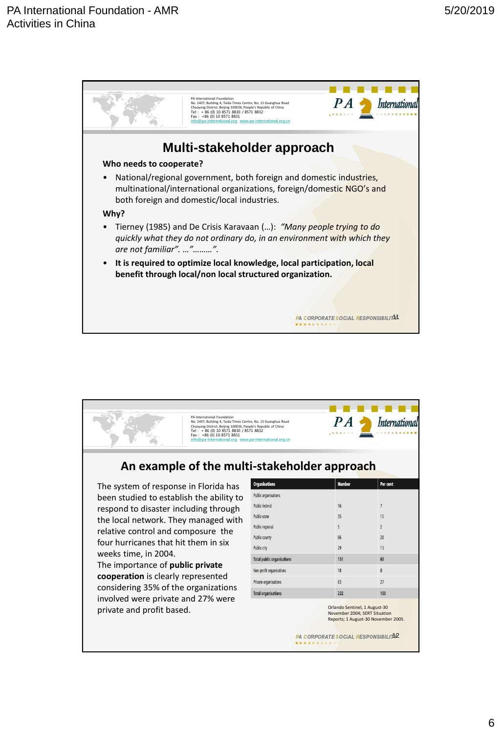

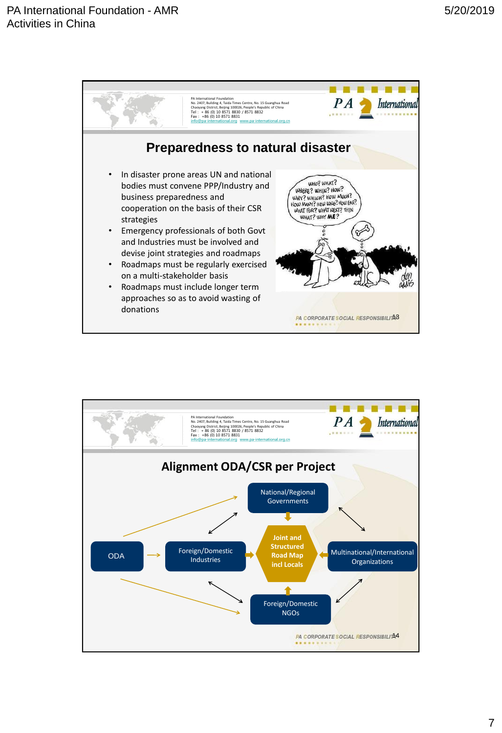

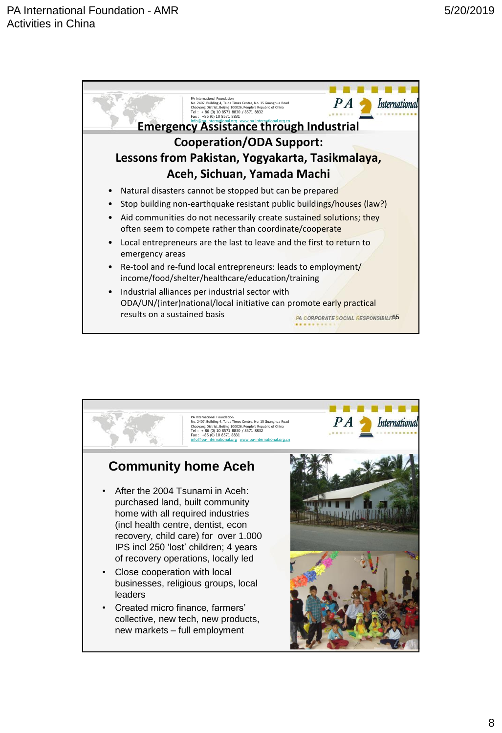

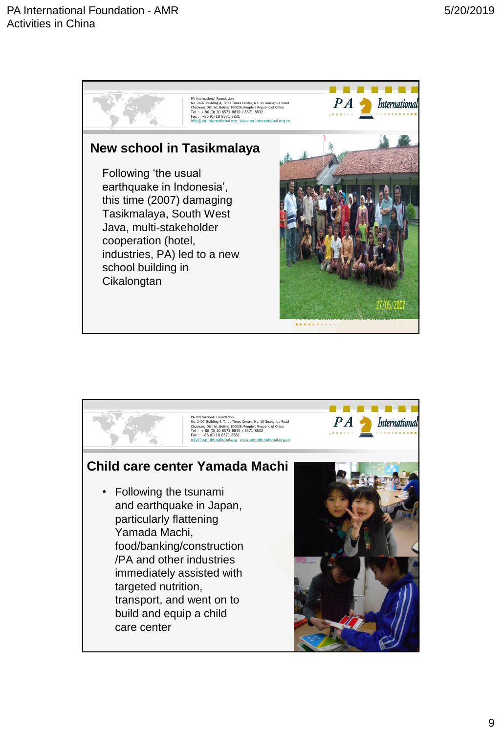

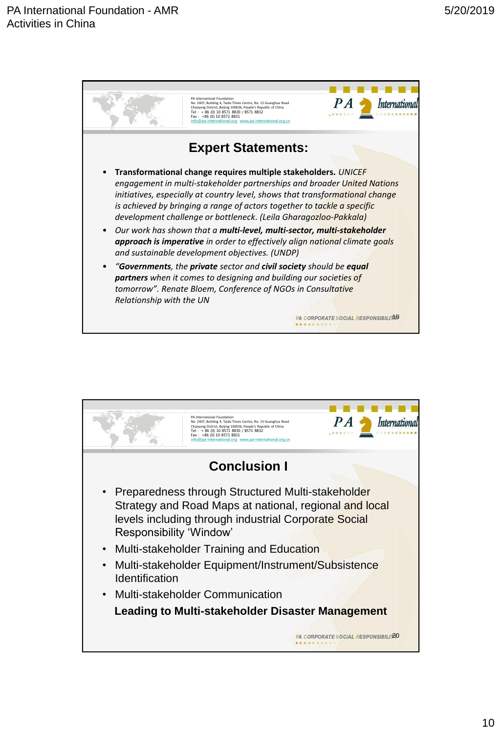

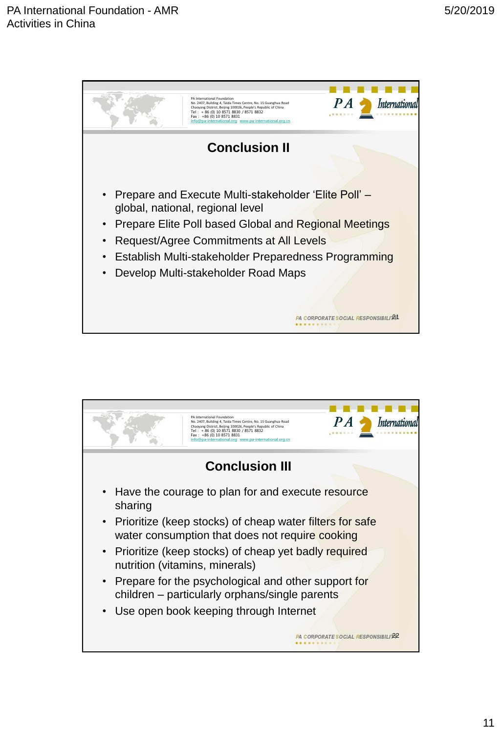